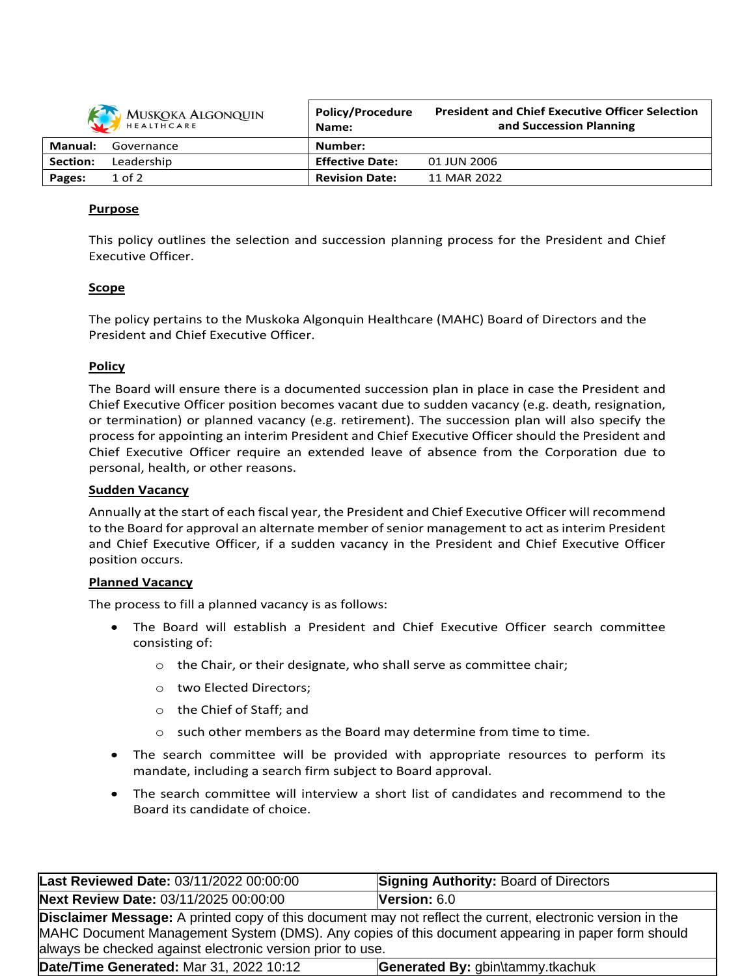| MUSKOKA ALGONQUIN |            | <b>Policy/Procedure</b><br>Name: | <b>President and Chief Executive Officer Selection</b><br>and Succession Planning |
|-------------------|------------|----------------------------------|-----------------------------------------------------------------------------------|
| <b>Manual:</b>    | Governance | Number:                          |                                                                                   |
| Section:          | Leadership | <b>Effective Date:</b>           | 01 JUN 2006                                                                       |
| Pages:            | $1$ of $2$ | <b>Revision Date:</b>            | 11 MAR 2022                                                                       |

## **Purpose**

This policy outlines the selection and succession planning process for the President and Chief Executive Officer.

### **Scope**

The policy pertains to the Muskoka Algonquin Healthcare (MAHC) Board of Directors and the President and Chief Executive Officer.

#### **Policy**

The Board will ensure there is a documented succession plan in place in case the President and Chief Executive Officer position becomes vacant due to sudden vacancy (e.g. death, resignation, or termination) or planned vacancy (e.g. retirement). The succession plan will also specify the process for appointing an interim President and Chief Executive Officer should the President and Chief Executive Officer require an extended leave of absence from the Corporation due to personal, health, or other reasons.

#### **Sudden Vacancy**

Annually at the start of each fiscal year, the President and Chief Executive Officer will recommend to the Board for approval an alternate member of senior management to act as interim President and Chief Executive Officer, if a sudden vacancy in the President and Chief Executive Officer position occurs.

#### **Planned Vacancy**

The process to fill a planned vacancy is as follows:

- The Board will establish a President and Chief Executive Officer search committee consisting of:
	- o the Chair, or their designate, who shall serve as committee chair;
	- o two Elected Directors;
	- o the Chief of Staff; and
	- $\circ$  such other members as the Board may determine from time to time.
- The search committee will be provided with appropriate resources to perform its mandate, including a search firm subject to Board approval.
- The search committee will interview a short list of candidates and recommend to the Board its candidate of choice.

| Last Reviewed Date: 03/11/2022 00:00:00                                                                                                                                                                                                                                              | <b>Signing Authority: Board of Directors</b> |  |  |  |  |
|--------------------------------------------------------------------------------------------------------------------------------------------------------------------------------------------------------------------------------------------------------------------------------------|----------------------------------------------|--|--|--|--|
| Next Review Date: 03/11/2025 00:00:00                                                                                                                                                                                                                                                | Version: 6.0                                 |  |  |  |  |
| <b>Disclaimer Message:</b> A printed copy of this document may not reflect the current, electronic version in the<br>MAHC Document Management System (DMS). Any copies of this document appearing in paper form should<br>always be checked against electronic version prior to use. |                                              |  |  |  |  |
| Date/Time Generated: Mar 31, 2022 10:12                                                                                                                                                                                                                                              | Generated By: gbin\tammy.tkachuk             |  |  |  |  |